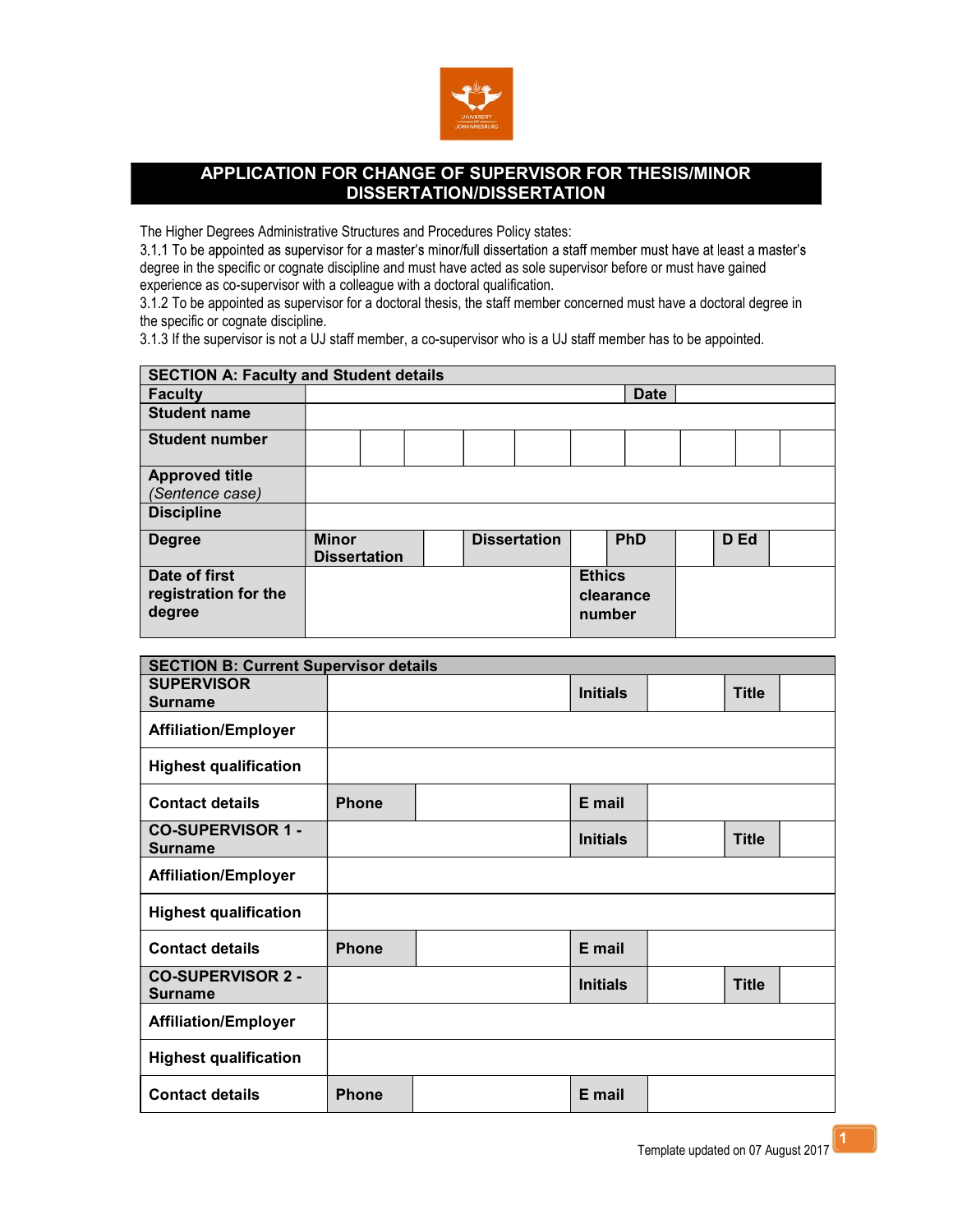

## APPLICATION FOR CHANGE OF SUPERVISOR FOR THESIS/MINOR DISSERTATION/DISSERTATION

The Higher Degrees Administrative Structures and Procedures Policy states:<br>3.1.1 To be appointed as supervisor for a master's minor/full dissertation a staff member must have at least a master's degree in the specific or cognate discipline and must have acted as sole supervisor before or must have gained experience as co-supervisor with a colleague with a doctoral qualification.

3.1.2 To be appointed as supervisor for a doctoral thesis, the staff member concerned must have a doctoral degree in the specific or cognate discipline.

3.1.3 If the supervisor is not a UJ staff member, a co-supervisor who is a UJ staff member has to be appointed.

| <b>SECTION A: Faculty and Student details</b>   |                                     |  |                     |                         |             |  |      |  |
|-------------------------------------------------|-------------------------------------|--|---------------------|-------------------------|-------------|--|------|--|
| <b>Faculty</b>                                  |                                     |  |                     |                         | <b>Date</b> |  |      |  |
| <b>Student name</b>                             |                                     |  |                     |                         |             |  |      |  |
| <b>Student number</b>                           |                                     |  |                     |                         |             |  |      |  |
| <b>Approved title</b>                           |                                     |  |                     |                         |             |  |      |  |
| (Sentence case)                                 |                                     |  |                     |                         |             |  |      |  |
| <b>Discipline</b>                               |                                     |  |                     |                         |             |  |      |  |
| <b>Degree</b>                                   | <b>Minor</b><br><b>Dissertation</b> |  | <b>Dissertation</b> |                         | PhD         |  | D Ed |  |
| Date of first<br>registration for the<br>degree |                                     |  |                     | <b>Ethics</b><br>number | clearance   |  |      |  |

| <b>SECTION B: Current Supervisor details</b> |              |  |                 |  |              |  |
|----------------------------------------------|--------------|--|-----------------|--|--------------|--|
| <b>SUPERVISOR</b><br><b>Surname</b>          |              |  | <b>Initials</b> |  | <b>Title</b> |  |
| <b>Affiliation/Employer</b>                  |              |  |                 |  |              |  |
| <b>Highest qualification</b>                 |              |  |                 |  |              |  |
| <b>Contact details</b>                       | <b>Phone</b> |  | E mail          |  |              |  |
| <b>CO-SUPERVISOR 1 -</b><br><b>Surname</b>   |              |  | <b>Initials</b> |  | <b>Title</b> |  |
| <b>Affiliation/Employer</b>                  |              |  |                 |  |              |  |
| <b>Highest qualification</b>                 |              |  |                 |  |              |  |
| <b>Contact details</b>                       | <b>Phone</b> |  | E mail          |  |              |  |
| <b>CO-SUPERVISOR 2 -</b><br><b>Surname</b>   |              |  | <b>Initials</b> |  | <b>Title</b> |  |
| <b>Affiliation/Employer</b>                  |              |  |                 |  |              |  |
| <b>Highest qualification</b>                 |              |  |                 |  |              |  |
| <b>Contact details</b>                       | <b>Phone</b> |  | E mail          |  |              |  |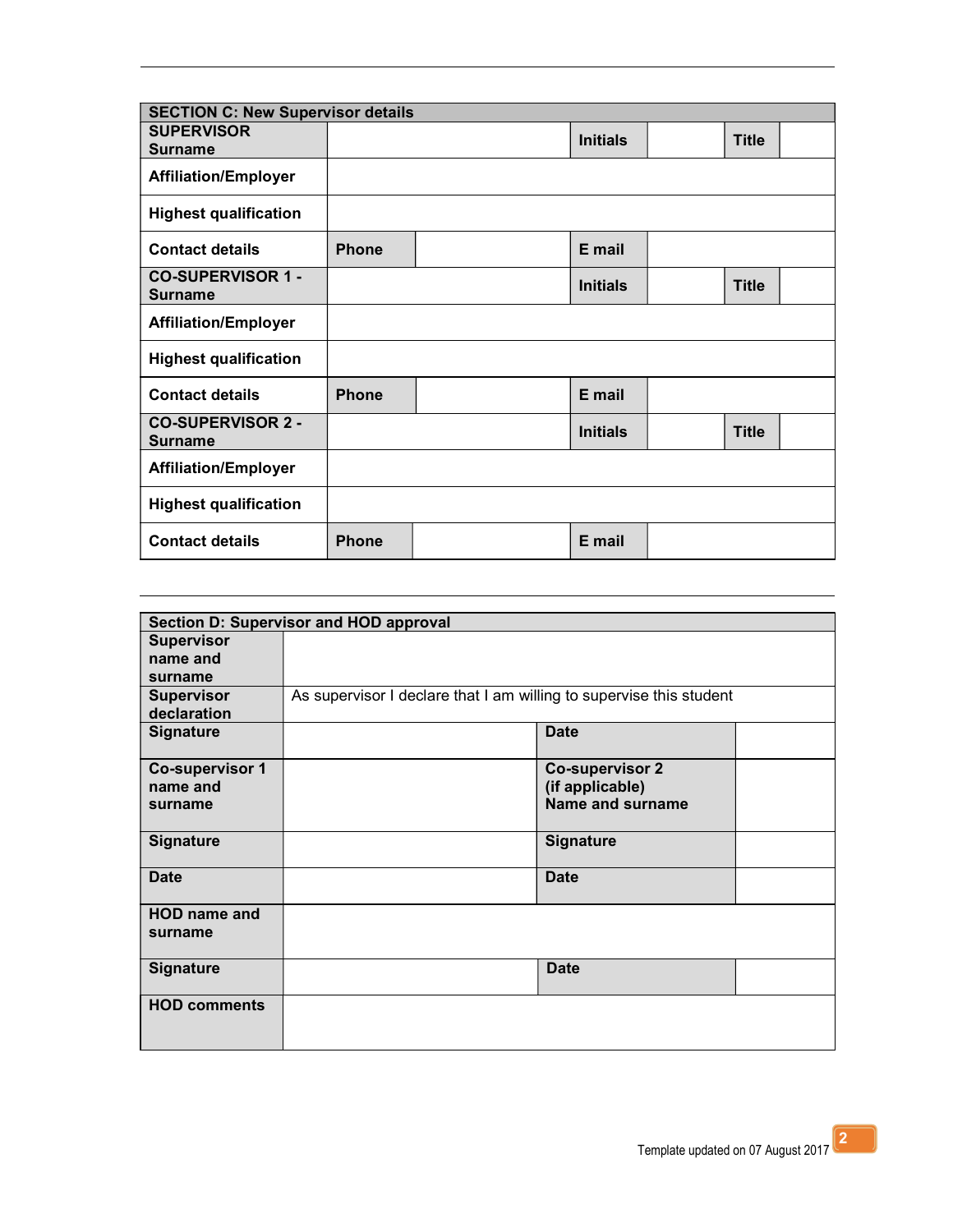| <b>SECTION C: New Supervisor details</b>   |              |  |                 |  |              |  |
|--------------------------------------------|--------------|--|-----------------|--|--------------|--|
| <b>SUPERVISOR</b><br><b>Surname</b>        |              |  | <b>Initials</b> |  | <b>Title</b> |  |
| <b>Affiliation/Employer</b>                |              |  |                 |  |              |  |
| <b>Highest qualification</b>               |              |  |                 |  |              |  |
| <b>Contact details</b>                     | <b>Phone</b> |  | E mail          |  |              |  |
| <b>CO-SUPERVISOR 1 -</b><br><b>Surname</b> |              |  | <b>Initials</b> |  | <b>Title</b> |  |
| <b>Affiliation/Employer</b>                |              |  |                 |  |              |  |
| <b>Highest qualification</b>               |              |  |                 |  |              |  |
| <b>Contact details</b>                     | <b>Phone</b> |  | E mail          |  |              |  |
| <b>CO-SUPERVISOR 2 -</b><br><b>Surname</b> |              |  | <b>Initials</b> |  | <b>Title</b> |  |
| <b>Affiliation/Employer</b>                |              |  |                 |  |              |  |
| <b>Highest qualification</b>               |              |  |                 |  |              |  |
| <b>Contact details</b>                     | <b>Phone</b> |  | E mail          |  |              |  |

| Section D: Supervisor and HOD approval |                                                                     |                        |  |  |  |  |
|----------------------------------------|---------------------------------------------------------------------|------------------------|--|--|--|--|
| <b>Supervisor</b>                      |                                                                     |                        |  |  |  |  |
| name and                               |                                                                     |                        |  |  |  |  |
| surname                                |                                                                     |                        |  |  |  |  |
| <b>Supervisor</b>                      | As supervisor I declare that I am willing to supervise this student |                        |  |  |  |  |
| declaration                            |                                                                     |                        |  |  |  |  |
| Signature                              |                                                                     | <b>Date</b>            |  |  |  |  |
|                                        |                                                                     |                        |  |  |  |  |
| <b>Co-supervisor 1</b>                 |                                                                     | <b>Co-supervisor 2</b> |  |  |  |  |
| name and                               |                                                                     | (if applicable)        |  |  |  |  |
| surname                                |                                                                     | Name and surname       |  |  |  |  |
|                                        |                                                                     |                        |  |  |  |  |
| <b>Signature</b>                       |                                                                     | <b>Signature</b>       |  |  |  |  |
|                                        |                                                                     |                        |  |  |  |  |
| <b>Date</b>                            |                                                                     | <b>Date</b>            |  |  |  |  |
|                                        |                                                                     |                        |  |  |  |  |
| <b>HOD</b> name and                    |                                                                     |                        |  |  |  |  |
| surname                                |                                                                     |                        |  |  |  |  |
|                                        |                                                                     |                        |  |  |  |  |
| Signature                              |                                                                     | <b>Date</b>            |  |  |  |  |
|                                        |                                                                     |                        |  |  |  |  |
| <b>HOD comments</b>                    |                                                                     |                        |  |  |  |  |
|                                        |                                                                     |                        |  |  |  |  |
|                                        |                                                                     |                        |  |  |  |  |